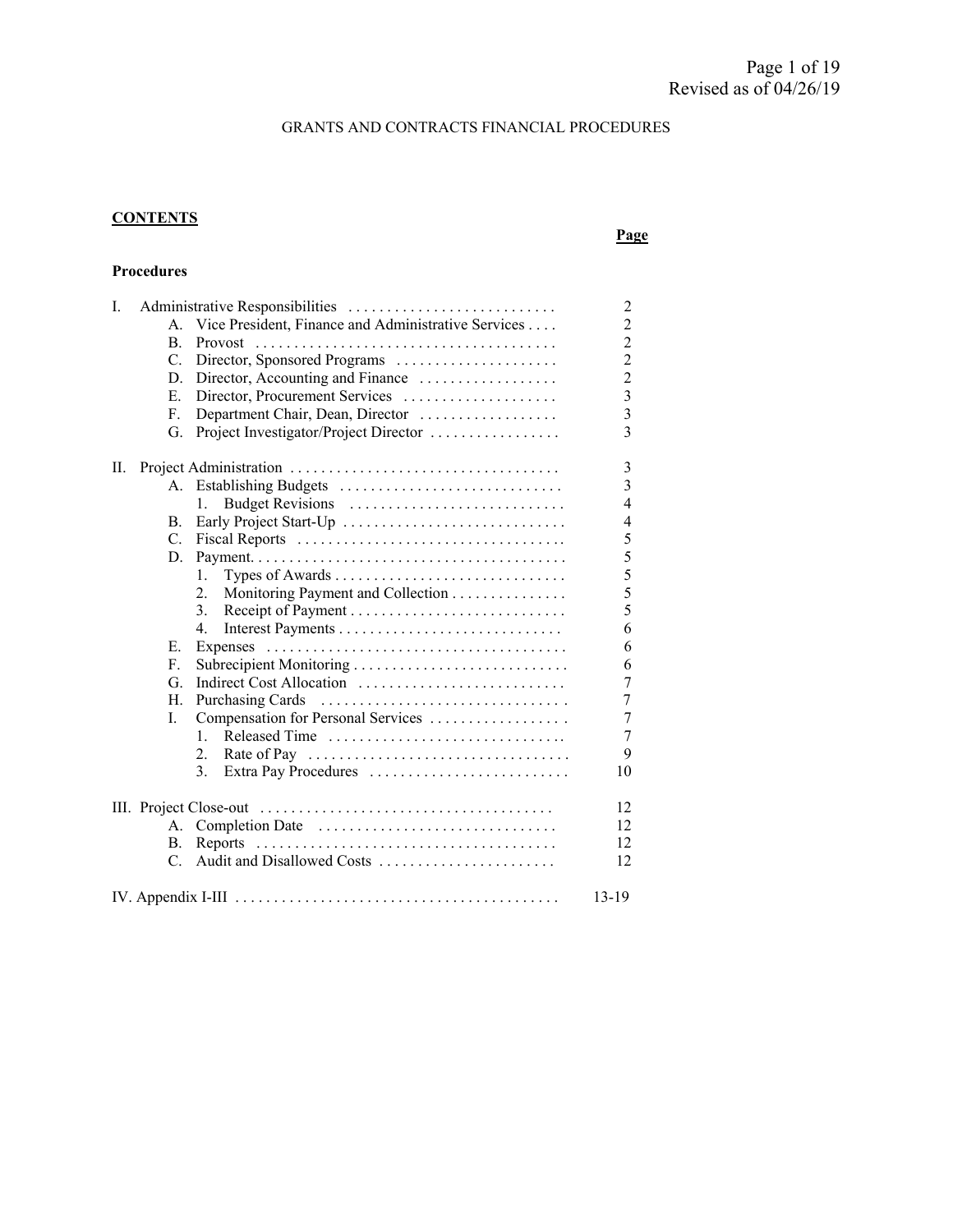#### GRANTS AND CONTRACTS FINANCIAL PROCEDURES

## **CONTENTS**

#### **Page**

#### **Procedures**

| I. | Administrative Responsibilities |                                                     |                |  |
|----|---------------------------------|-----------------------------------------------------|----------------|--|
|    | A.                              | Vice President, Finance and Administrative Services | $\overline{c}$ |  |
|    | <b>B.</b>                       |                                                     | $\overline{c}$ |  |
|    | $C_{\cdot}$                     | Director, Sponsored Programs                        | $\overline{c}$ |  |
|    | D.                              | Director, Accounting and Finance                    | $\overline{2}$ |  |
|    | Е.                              | Director, Procurement Services                      | $\overline{3}$ |  |
|    | F.                              | Department Chair, Dean, Director                    | $\overline{3}$ |  |
|    | G.                              | Project Investigator/Project Director               | $\overline{3}$ |  |
| П. |                                 |                                                     | 3              |  |
|    | A.                              | Establishing Budgets                                | $\overline{3}$ |  |
|    |                                 | 1.                                                  | $\overline{4}$ |  |
|    | В.                              | Early Project Start-Up                              | $\overline{4}$ |  |
|    |                                 |                                                     | 5              |  |
|    | D.                              |                                                     | 5              |  |
|    |                                 | 1.                                                  | 5              |  |
|    |                                 | Monitoring Payment and Collection<br>2.             | 5              |  |
|    |                                 | 3.                                                  | 5              |  |
|    |                                 | 4.                                                  | 6              |  |
|    | E.                              |                                                     | 6              |  |
|    | F.                              | Subrecipient Monitoring                             | 6              |  |
|    | G.                              | Indirect Cost Allocation                            | $\overline{7}$ |  |
|    | Н.                              |                                                     | $\overline{7}$ |  |
|    | L.                              | Compensation for Personal Services                  | $\overline{7}$ |  |
|    |                                 | Released Time<br>$1_{-}$                            | $\tau$         |  |
|    |                                 | 2.                                                  | 9              |  |
|    |                                 | 3.<br>Extra Pay Procedures                          | 10             |  |
|    |                                 |                                                     | 12             |  |
|    | А.                              |                                                     | 12             |  |
|    | В.                              |                                                     | 12             |  |
|    | C.                              | Audit and Disallowed Costs                          | 12             |  |
|    |                                 |                                                     | 13-19          |  |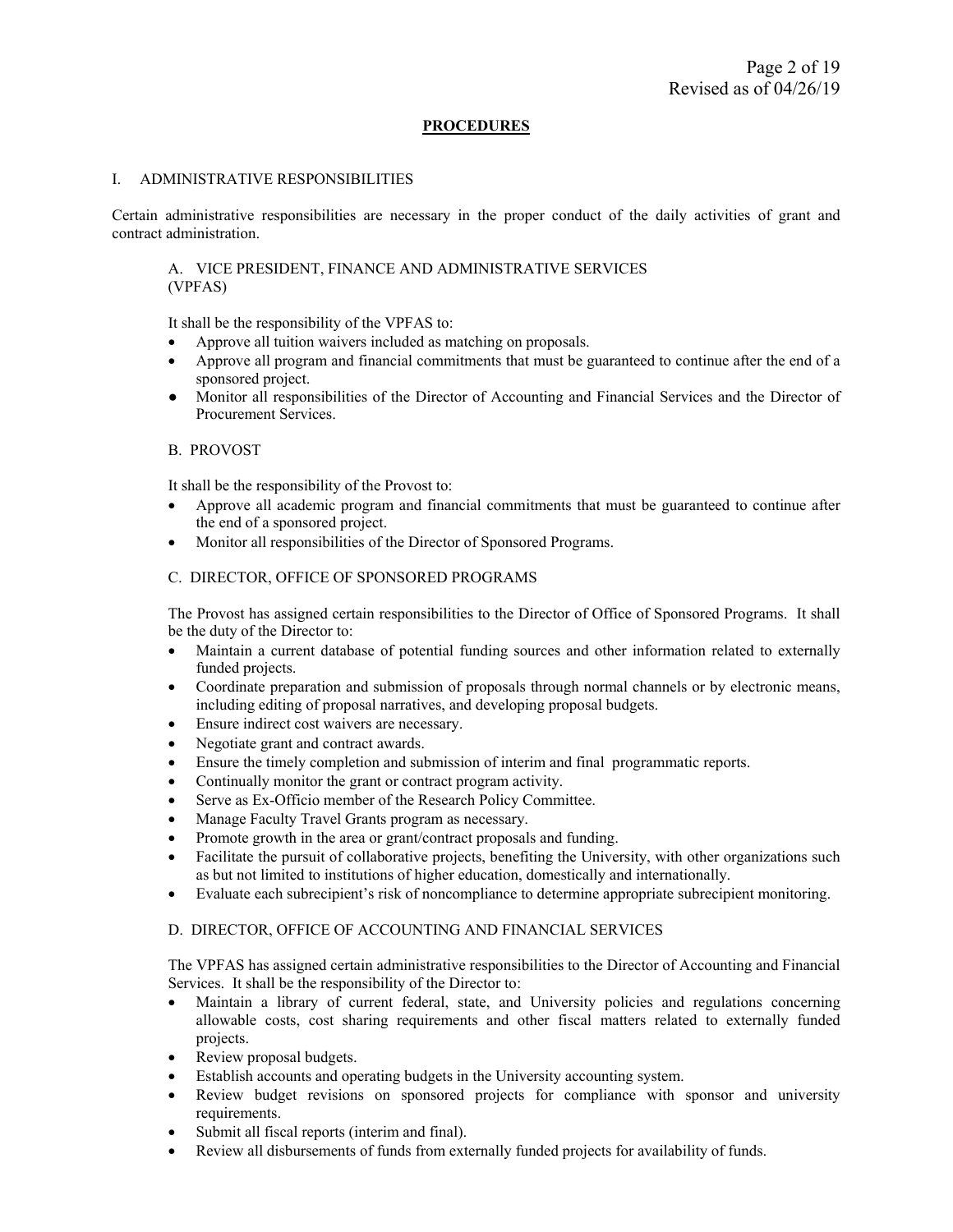#### **PROCEDURES**

#### I. ADMINISTRATIVE RESPONSIBILITIES

Certain administrative responsibilities are necessary in the proper conduct of the daily activities of grant and contract administration.

A. VICE PRESIDENT, FINANCE AND ADMINISTRATIVE SERVICES (VPFAS)

It shall be the responsibility of the VPFAS to:

- Approve all tuition waivers included as matching on proposals.
- Approve all program and financial commitments that must be guaranteed to continue after the end of a sponsored project.
- Monitor all responsibilities of the Director of Accounting and Financial Services and the Director of Procurement Services.

#### B. PROVOST

It shall be the responsibility of the Provost to:

- Approve all academic program and financial commitments that must be guaranteed to continue after the end of a sponsored project.
- Monitor all responsibilities of the Director of Sponsored Programs.

#### C. DIRECTOR, OFFICE OF SPONSORED PROGRAMS

The Provost has assigned certain responsibilities to the Director of Office of Sponsored Programs. It shall be the duty of the Director to:

- Maintain a current database of potential funding sources and other information related to externally funded projects.
- Coordinate preparation and submission of proposals through normal channels or by electronic means, including editing of proposal narratives, and developing proposal budgets.
- Ensure indirect cost waivers are necessary.
- Negotiate grant and contract awards.
- Ensure the timely completion and submission of interim and final programmatic reports.
- Continually monitor the grant or contract program activity.
- Serve as Ex-Officio member of the Research Policy Committee.
- Manage Faculty Travel Grants program as necessary.
- Promote growth in the area or grant/contract proposals and funding.
- Facilitate the pursuit of collaborative projects, benefiting the University, with other organizations such as but not limited to institutions of higher education, domestically and internationally.
- Evaluate each subrecipient's risk of noncompliance to determine appropriate subrecipient monitoring.

#### D. DIRECTOR, OFFICE OF ACCOUNTING AND FINANCIAL SERVICES

The VPFAS has assigned certain administrative responsibilities to the Director of Accounting and Financial Services. It shall be the responsibility of the Director to:

- Maintain a library of current federal, state, and University policies and regulations concerning allowable costs, cost sharing requirements and other fiscal matters related to externally funded projects.
- Review proposal budgets.
- Establish accounts and operating budgets in the University accounting system.
- Review budget revisions on sponsored projects for compliance with sponsor and university requirements.
- Submit all fiscal reports (interim and final).
- Review all disbursements of funds from externally funded projects for availability of funds.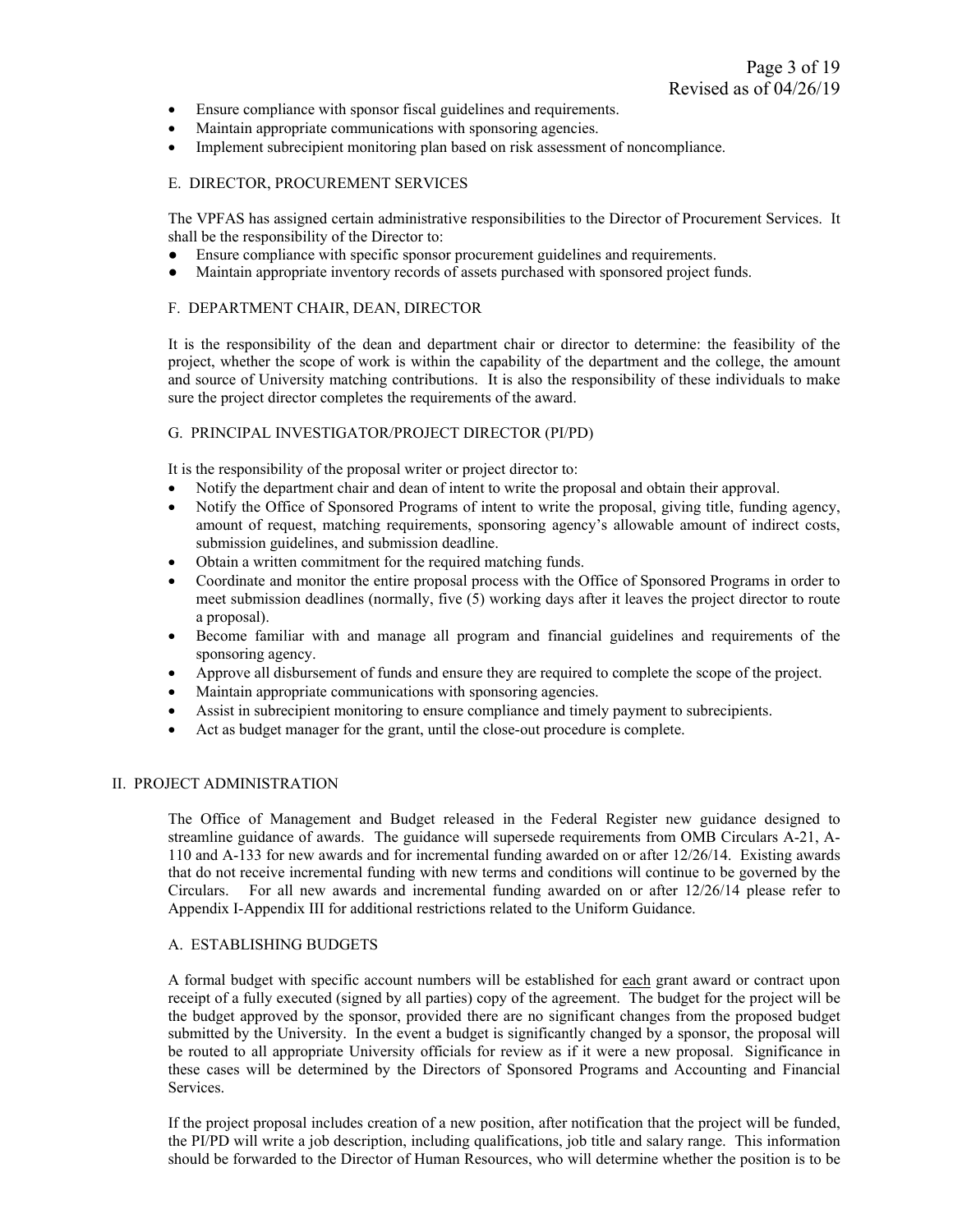- Ensure compliance with sponsor fiscal guidelines and requirements.
- Maintain appropriate communications with sponsoring agencies.
- Implement subrecipient monitoring plan based on risk assessment of noncompliance.

#### E. DIRECTOR, PROCUREMENT SERVICES

The VPFAS has assigned certain administrative responsibilities to the Director of Procurement Services. It shall be the responsibility of the Director to:

- Ensure compliance with specific sponsor procurement guidelines and requirements.
- Maintain appropriate inventory records of assets purchased with sponsored project funds.

#### F. DEPARTMENT CHAIR, DEAN, DIRECTOR

It is the responsibility of the dean and department chair or director to determine: the feasibility of the project, whether the scope of work is within the capability of the department and the college, the amount and source of University matching contributions. It is also the responsibility of these individuals to make sure the project director completes the requirements of the award.

#### G. PRINCIPAL INVESTIGATOR/PROJECT DIRECTOR (PI/PD)

It is the responsibility of the proposal writer or project director to:

- Notify the department chair and dean of intent to write the proposal and obtain their approval.
- Notify the Office of Sponsored Programs of intent to write the proposal, giving title, funding agency, amount of request, matching requirements, sponsoring agency's allowable amount of indirect costs, submission guidelines, and submission deadline.
- Obtain a written commitment for the required matching funds.
- Coordinate and monitor the entire proposal process with the Office of Sponsored Programs in order to meet submission deadlines (normally, five (5) working days after it leaves the project director to route a proposal).
- Become familiar with and manage all program and financial guidelines and requirements of the sponsoring agency.
- Approve all disbursement of funds and ensure they are required to complete the scope of the project.
- Maintain appropriate communications with sponsoring agencies.
- Assist in subrecipient monitoring to ensure compliance and timely payment to subrecipients.
- Act as budget manager for the grant, until the close-out procedure is complete.

#### II. PROJECT ADMINISTRATION

The Office of Management and Budget released in the Federal Register new guidance designed to streamline guidance of awards. The guidance will supersede requirements from OMB Circulars A-21, A-110 and A-133 for new awards and for incremental funding awarded on or after 12/26/14. Existing awards that do not receive incremental funding with new terms and conditions will continue to be governed by the Circulars. For all new awards and incremental funding awarded on or after 12/26/14 please refer to Appendix I-Appendix III for additional restrictions related to the Uniform Guidance.

#### A. ESTABLISHING BUDGETS

A formal budget with specific account numbers will be established for each grant award or contract upon receipt of a fully executed (signed by all parties) copy of the agreement. The budget for the project will be the budget approved by the sponsor, provided there are no significant changes from the proposed budget submitted by the University. In the event a budget is significantly changed by a sponsor, the proposal will be routed to all appropriate University officials for review as if it were a new proposal. Significance in these cases will be determined by the Directors of Sponsored Programs and Accounting and Financial Services.

If the project proposal includes creation of a new position, after notification that the project will be funded, the PI/PD will write a job description, including qualifications, job title and salary range. This information should be forwarded to the Director of Human Resources, who will determine whether the position is to be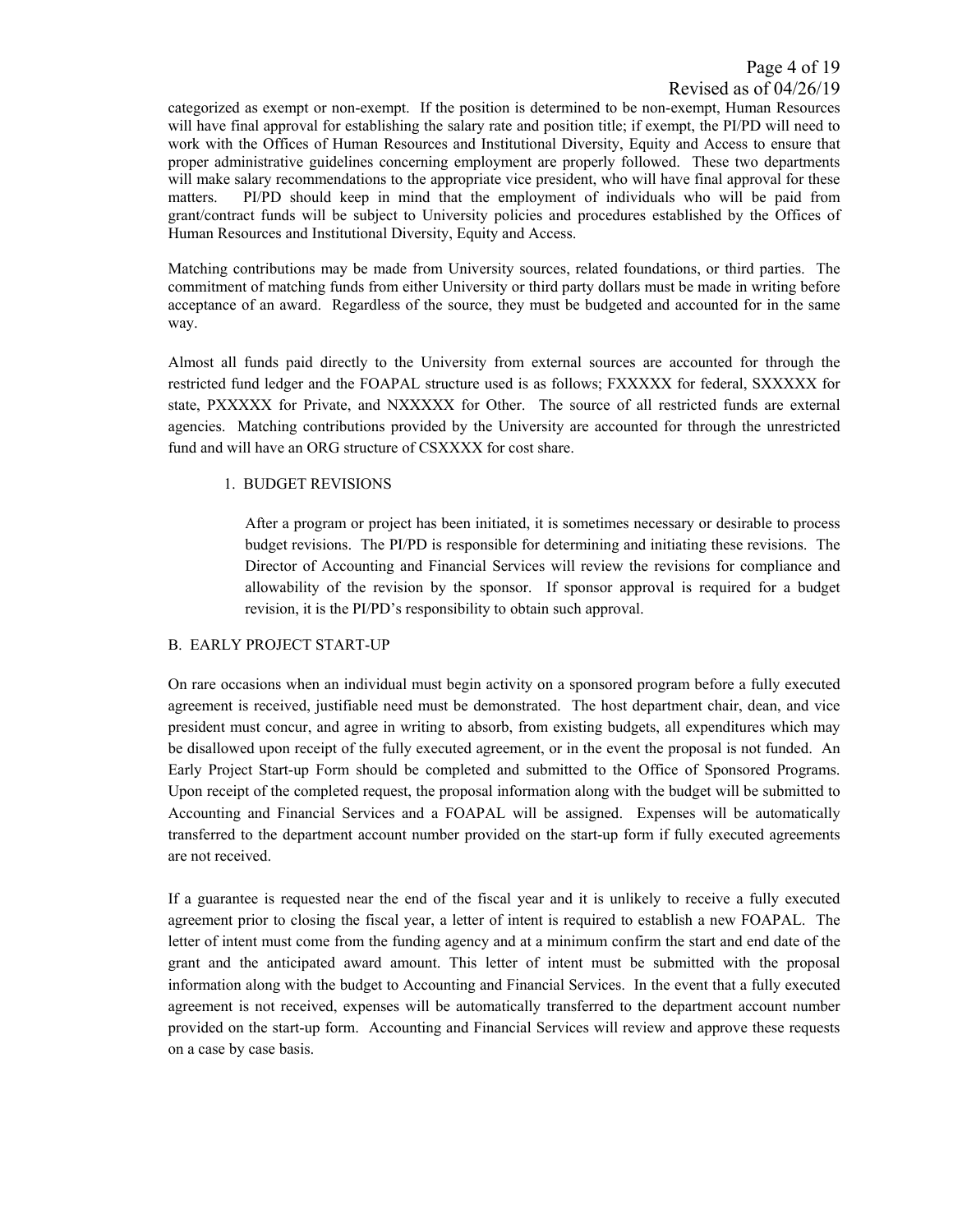categorized as exempt or non-exempt. If the position is determined to be non-exempt, Human Resources will have final approval for establishing the salary rate and position title; if exempt, the PI/PD will need to work with the Offices of Human Resources and Institutional Diversity, Equity and Access to ensure that proper administrative guidelines concerning employment are properly followed. These two departments will make salary recommendations to the appropriate vice president, who will have final approval for these matters. PI/PD should keep in mind that the employment of individuals who will be paid from grant/contract funds will be subject to University policies and procedures established by the Offices of Human Resources and Institutional Diversity, Equity and Access.

Matching contributions may be made from University sources, related foundations, or third parties. The commitment of matching funds from either University or third party dollars must be made in writing before acceptance of an award. Regardless of the source, they must be budgeted and accounted for in the same way.

Almost all funds paid directly to the University from external sources are accounted for through the restricted fund ledger and the FOAPAL structure used is as follows; FXXXXX for federal, SXXXXX for state, PXXXXX for Private, and NXXXXX for Other. The source of all restricted funds are external agencies. Matching contributions provided by the University are accounted for through the unrestricted fund and will have an ORG structure of CSXXXX for cost share.

#### 1. BUDGET REVISIONS

After a program or project has been initiated, it is sometimes necessary or desirable to process budget revisions. The PI/PD is responsible for determining and initiating these revisions. The Director of Accounting and Financial Services will review the revisions for compliance and allowability of the revision by the sponsor. If sponsor approval is required for a budget revision, it is the PI/PD's responsibility to obtain such approval.

#### B. EARLY PROJECT START-UP

On rare occasions when an individual must begin activity on a sponsored program before a fully executed agreement is received, justifiable need must be demonstrated. The host department chair, dean, and vice president must concur, and agree in writing to absorb, from existing budgets, all expenditures which may be disallowed upon receipt of the fully executed agreement, or in the event the proposal is not funded. An Early Project Start-up Form should be completed and submitted to the Office of Sponsored Programs. Upon receipt of the completed request, the proposal information along with the budget will be submitted to Accounting and Financial Services and a FOAPAL will be assigned. Expenses will be automatically transferred to the department account number provided on the start-up form if fully executed agreements are not received.

If a guarantee is requested near the end of the fiscal year and it is unlikely to receive a fully executed agreement prior to closing the fiscal year, a letter of intent is required to establish a new FOAPAL. The letter of intent must come from the funding agency and at a minimum confirm the start and end date of the grant and the anticipated award amount. This letter of intent must be submitted with the proposal information along with the budget to Accounting and Financial Services. In the event that a fully executed agreement is not received, expenses will be automatically transferred to the department account number provided on the start-up form. Accounting and Financial Services will review and approve these requests on a case by case basis.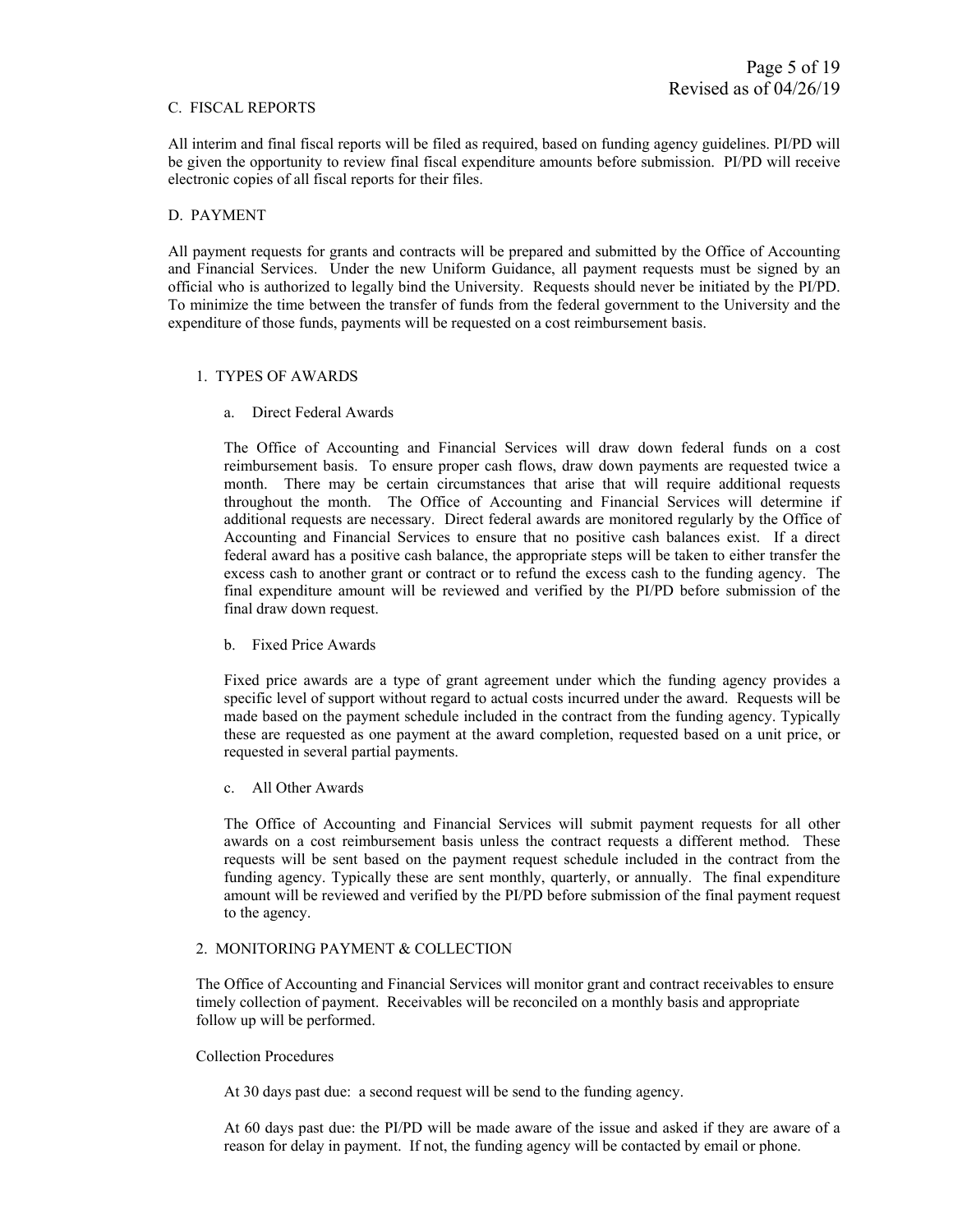#### C. FISCAL REPORTS

All interim and final fiscal reports will be filed as required, based on funding agency guidelines. PI/PD will be given the opportunity to review final fiscal expenditure amounts before submission. PI/PD will receive electronic copies of all fiscal reports for their files.

#### D. PAYMENT

All payment requests for grants and contracts will be prepared and submitted by the Office of Accounting and Financial Services. Under the new Uniform Guidance, all payment requests must be signed by an official who is authorized to legally bind the University. Requests should never be initiated by the PI/PD. To minimize the time between the transfer of funds from the federal government to the University and the expenditure of those funds, payments will be requested on a cost reimbursement basis.

#### 1. TYPES OF AWARDS

a. Direct Federal Awards

The Office of Accounting and Financial Services will draw down federal funds on a cost reimbursement basis. To ensure proper cash flows, draw down payments are requested twice a month. There may be certain circumstances that arise that will require additional requests throughout the month. The Office of Accounting and Financial Services will determine if additional requests are necessary. Direct federal awards are monitored regularly by the Office of Accounting and Financial Services to ensure that no positive cash balances exist. If a direct federal award has a positive cash balance, the appropriate steps will be taken to either transfer the excess cash to another grant or contract or to refund the excess cash to the funding agency. The final expenditure amount will be reviewed and verified by the PI/PD before submission of the final draw down request.

b. Fixed Price Awards

Fixed price awards are a type of grant agreement under which the funding agency provides a specific level of support without regard to actual costs incurred under the award. Requests will be made based on the payment schedule included in the contract from the funding agency. Typically these are requested as one payment at the award completion, requested based on a unit price, or requested in several partial payments.

c. All Other Awards

The Office of Accounting and Financial Services will submit payment requests for all other awards on a cost reimbursement basis unless the contract requests a different method. These requests will be sent based on the payment request schedule included in the contract from the funding agency. Typically these are sent monthly, quarterly, or annually. The final expenditure amount will be reviewed and verified by the PI/PD before submission of the final payment request to the agency.

#### 2. MONITORING PAYMENT & COLLECTION

The Office of Accounting and Financial Services will monitor grant and contract receivables to ensure timely collection of payment. Receivables will be reconciled on a monthly basis and appropriate follow up will be performed.

#### Collection Procedures

At 30 days past due: a second request will be send to the funding agency.

At 60 days past due: the PI/PD will be made aware of the issue and asked if they are aware of a reason for delay in payment. If not, the funding agency will be contacted by email or phone.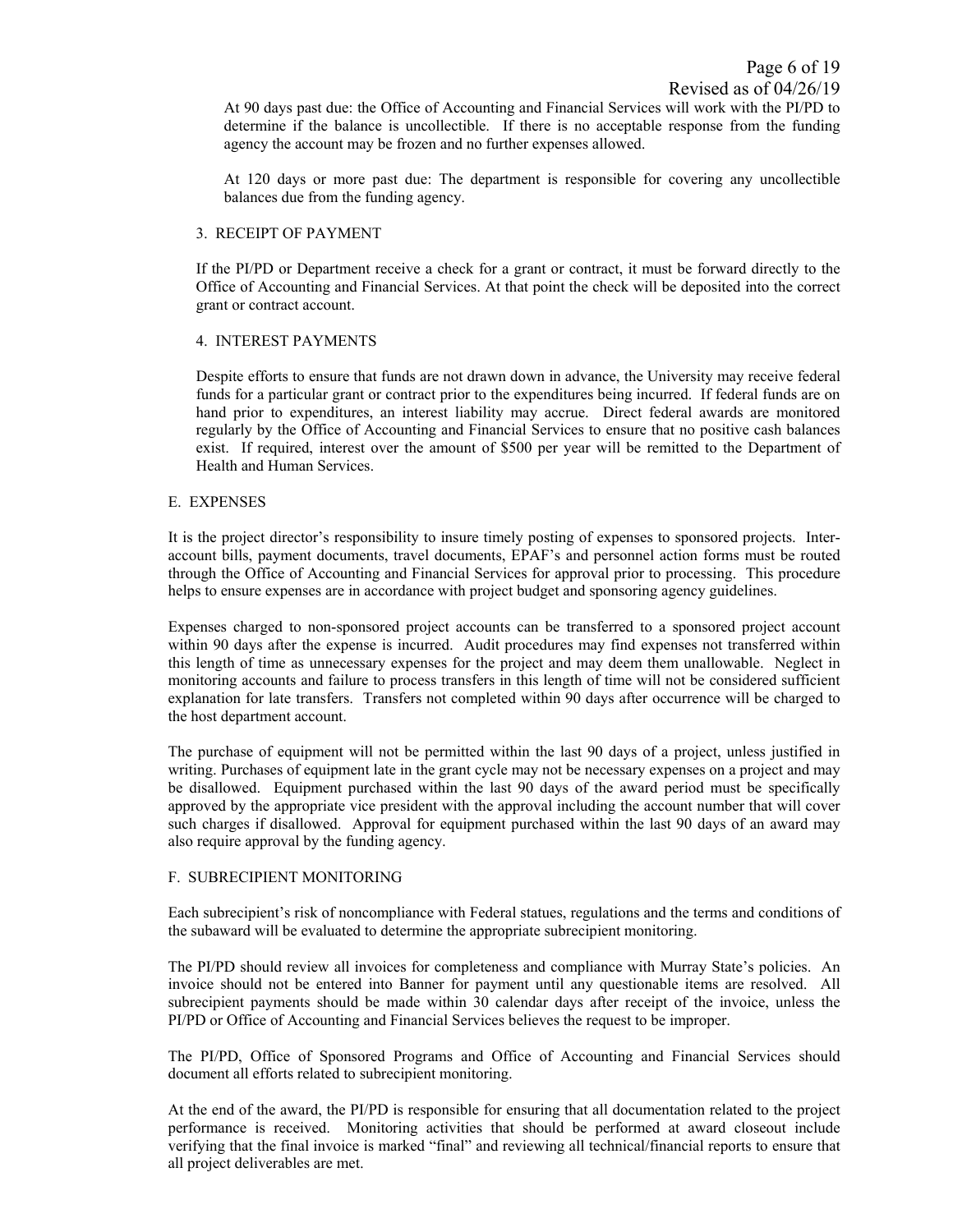At 90 days past due: the Office of Accounting and Financial Services will work with the PI/PD to determine if the balance is uncollectible. If there is no acceptable response from the funding agency the account may be frozen and no further expenses allowed.

At 120 days or more past due: The department is responsible for covering any uncollectible balances due from the funding agency.

#### 3. RECEIPT OF PAYMENT

If the PI/PD or Department receive a check for a grant or contract, it must be forward directly to the Office of Accounting and Financial Services. At that point the check will be deposited into the correct grant or contract account.

#### 4. INTEREST PAYMENTS

Despite efforts to ensure that funds are not drawn down in advance, the University may receive federal funds for a particular grant or contract prior to the expenditures being incurred. If federal funds are on hand prior to expenditures, an interest liability may accrue. Direct federal awards are monitored regularly by the Office of Accounting and Financial Services to ensure that no positive cash balances exist. If required, interest over the amount of \$500 per year will be remitted to the Department of Health and Human Services.

#### E. EXPENSES

It is the project director's responsibility to insure timely posting of expenses to sponsored projects. Interaccount bills, payment documents, travel documents, EPAF's and personnel action forms must be routed through the Office of Accounting and Financial Services for approval prior to processing. This procedure helps to ensure expenses are in accordance with project budget and sponsoring agency guidelines.

Expenses charged to non-sponsored project accounts can be transferred to a sponsored project account within 90 days after the expense is incurred. Audit procedures may find expenses not transferred within this length of time as unnecessary expenses for the project and may deem them unallowable. Neglect in monitoring accounts and failure to process transfers in this length of time will not be considered sufficient explanation for late transfers. Transfers not completed within 90 days after occurrence will be charged to the host department account.

The purchase of equipment will not be permitted within the last 90 days of a project, unless justified in writing. Purchases of equipment late in the grant cycle may not be necessary expenses on a project and may be disallowed. Equipment purchased within the last 90 days of the award period must be specifically approved by the appropriate vice president with the approval including the account number that will cover such charges if disallowed. Approval for equipment purchased within the last 90 days of an award may also require approval by the funding agency.

#### F. SUBRECIPIENT MONITORING

Each subrecipient's risk of noncompliance with Federal statues, regulations and the terms and conditions of the subaward will be evaluated to determine the appropriate subrecipient monitoring.

The PI/PD should review all invoices for completeness and compliance with Murray State's policies. An invoice should not be entered into Banner for payment until any questionable items are resolved. All subrecipient payments should be made within 30 calendar days after receipt of the invoice, unless the PI/PD or Office of Accounting and Financial Services believes the request to be improper.

The PI/PD, Office of Sponsored Programs and Office of Accounting and Financial Services should document all efforts related to subrecipient monitoring.

At the end of the award, the PI/PD is responsible for ensuring that all documentation related to the project performance is received. Monitoring activities that should be performed at award closeout include verifying that the final invoice is marked "final" and reviewing all technical/financial reports to ensure that all project deliverables are met.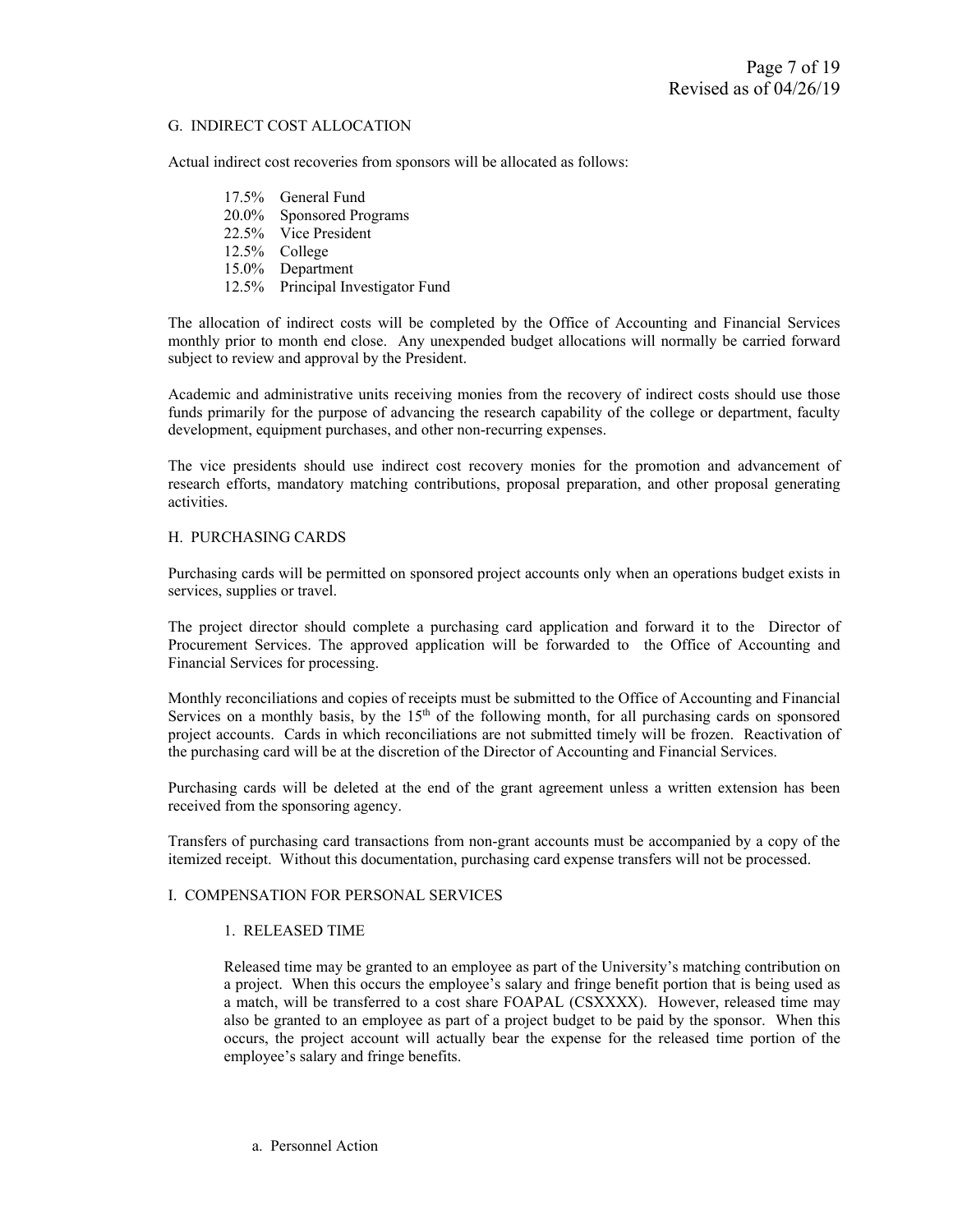#### G. INDIRECT COST ALLOCATION

Actual indirect cost recoveries from sponsors will be allocated as follows:

 17.5% General Fund 20.0% Sponsored Programs 22.5% Vice President 12.5% College 15.0% Department 12.5% Principal Investigator Fund

The allocation of indirect costs will be completed by the Office of Accounting and Financial Services monthly prior to month end close. Any unexpended budget allocations will normally be carried forward subject to review and approval by the President.

Academic and administrative units receiving monies from the recovery of indirect costs should use those funds primarily for the purpose of advancing the research capability of the college or department, faculty development, equipment purchases, and other non-recurring expenses.

The vice presidents should use indirect cost recovery monies for the promotion and advancement of research efforts, mandatory matching contributions, proposal preparation, and other proposal generating activities.

#### H. PURCHASING CARDS

Purchasing cards will be permitted on sponsored project accounts only when an operations budget exists in services, supplies or travel.

The project director should complete a purchasing card application and forward it to the Director of Procurement Services. The approved application will be forwarded to the Office of Accounting and Financial Services for processing.

Monthly reconciliations and copies of receipts must be submitted to the Office of Accounting and Financial Services on a monthly basis, by the  $15<sup>th</sup>$  of the following month, for all purchasing cards on sponsored project accounts. Cards in which reconciliations are not submitted timely will be frozen. Reactivation of the purchasing card will be at the discretion of the Director of Accounting and Financial Services.

Purchasing cards will be deleted at the end of the grant agreement unless a written extension has been received from the sponsoring agency.

Transfers of purchasing card transactions from non-grant accounts must be accompanied by a copy of the itemized receipt. Without this documentation, purchasing card expense transfers will not be processed.

#### I. COMPENSATION FOR PERSONAL SERVICES

#### 1. RELEASED TIME

Released time may be granted to an employee as part of the University's matching contribution on a project. When this occurs the employee's salary and fringe benefit portion that is being used as a match, will be transferred to a cost share FOAPAL (CSXXXX). However, released time may also be granted to an employee as part of a project budget to be paid by the sponsor. When this occurs, the project account will actually bear the expense for the released time portion of the employee's salary and fringe benefits.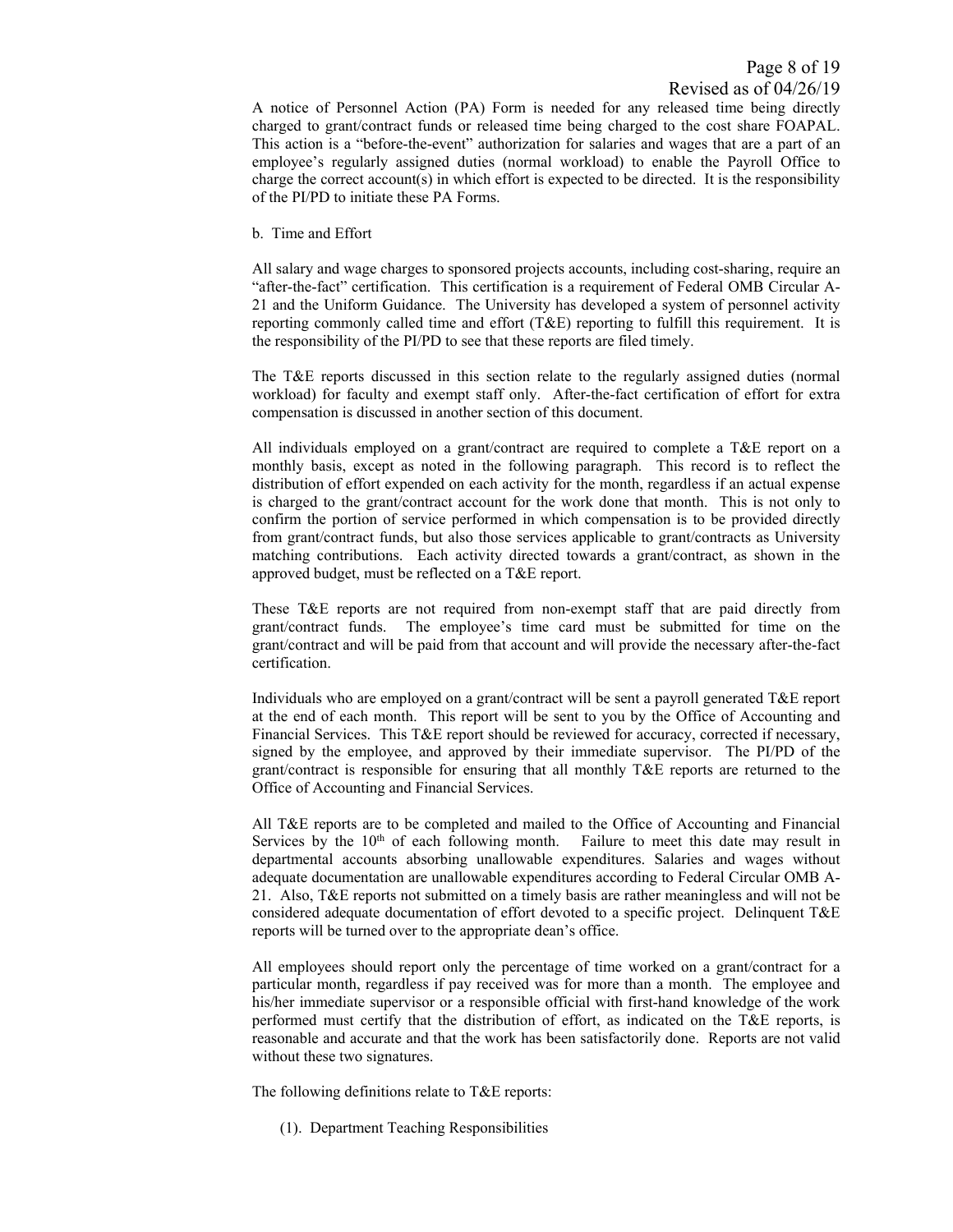A notice of Personnel Action (PA) Form is needed for any released time being directly charged to grant/contract funds or released time being charged to the cost share FOAPAL. This action is a "before-the-event" authorization for salaries and wages that are a part of an employee's regularly assigned duties (normal workload) to enable the Payroll Office to charge the correct account(s) in which effort is expected to be directed. It is the responsibility of the PI/PD to initiate these PA Forms.

b. Time and Effort

All salary and wage charges to sponsored projects accounts, including cost-sharing, require an "after-the-fact" certification. This certification is a requirement of Federal OMB Circular A-21 and the Uniform Guidance. The University has developed a system of personnel activity reporting commonly called time and effort (T&E) reporting to fulfill this requirement. It is the responsibility of the PI/PD to see that these reports are filed timely.

The T&E reports discussed in this section relate to the regularly assigned duties (normal workload) for faculty and exempt staff only. After-the-fact certification of effort for extra compensation is discussed in another section of this document.

All individuals employed on a grant/contract are required to complete a T&E report on a monthly basis, except as noted in the following paragraph. This record is to reflect the distribution of effort expended on each activity for the month, regardless if an actual expense is charged to the grant/contract account for the work done that month. This is not only to confirm the portion of service performed in which compensation is to be provided directly from grant/contract funds, but also those services applicable to grant/contracts as University matching contributions. Each activity directed towards a grant/contract, as shown in the approved budget, must be reflected on a T&E report.

These T&E reports are not required from non-exempt staff that are paid directly from grant/contract funds. The employee's time card must be submitted for time on the grant/contract and will be paid from that account and will provide the necessary after-the-fact certification.

Individuals who are employed on a grant/contract will be sent a payroll generated T&E report at the end of each month. This report will be sent to you by the Office of Accounting and Financial Services. This T&E report should be reviewed for accuracy, corrected if necessary, signed by the employee, and approved by their immediate supervisor. The PI/PD of the grant/contract is responsible for ensuring that all monthly T&E reports are returned to the Office of Accounting and Financial Services.

All T&E reports are to be completed and mailed to the Office of Accounting and Financial Services by the  $10<sup>th</sup>$  of each following month. Failure to meet this date may result in departmental accounts absorbing unallowable expenditures. Salaries and wages without adequate documentation are unallowable expenditures according to Federal Circular OMB A-21. Also, T&E reports not submitted on a timely basis are rather meaningless and will not be considered adequate documentation of effort devoted to a specific project. Delinquent T&E reports will be turned over to the appropriate dean's office.

All employees should report only the percentage of time worked on a grant/contract for a particular month, regardless if pay received was for more than a month. The employee and his/her immediate supervisor or a responsible official with first-hand knowledge of the work performed must certify that the distribution of effort, as indicated on the T&E reports, is reasonable and accurate and that the work has been satisfactorily done. Reports are not valid without these two signatures.

The following definitions relate to T&E reports:

(1). Department Teaching Responsibilities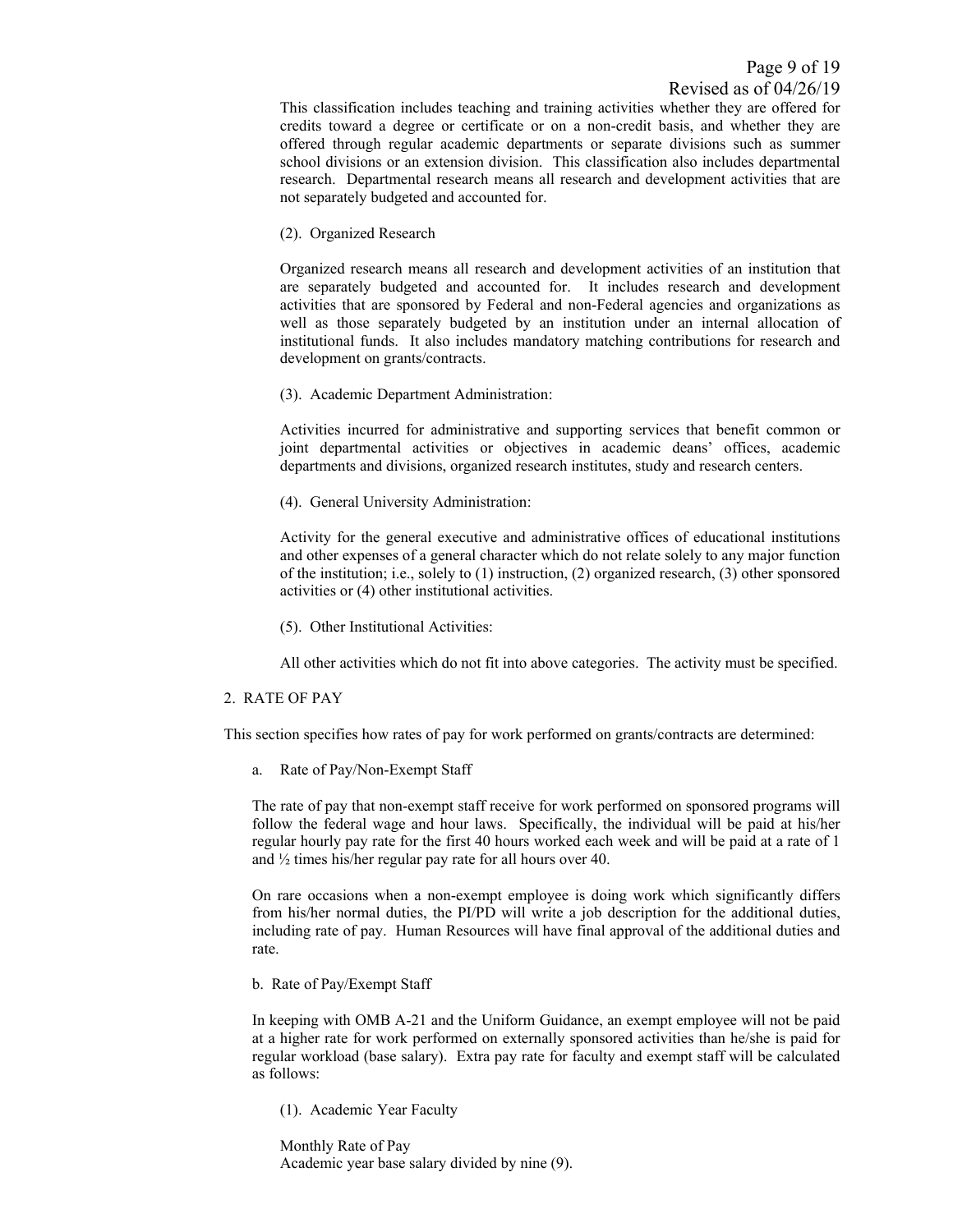This classification includes teaching and training activities whether they are offered for credits toward a degree or certificate or on a non-credit basis, and whether they are offered through regular academic departments or separate divisions such as summer school divisions or an extension division. This classification also includes departmental research. Departmental research means all research and development activities that are not separately budgeted and accounted for.

(2). Organized Research

Organized research means all research and development activities of an institution that are separately budgeted and accounted for. It includes research and development activities that are sponsored by Federal and non-Federal agencies and organizations as well as those separately budgeted by an institution under an internal allocation of institutional funds. It also includes mandatory matching contributions for research and development on grants/contracts.

(3). Academic Department Administration:

Activities incurred for administrative and supporting services that benefit common or joint departmental activities or objectives in academic deans' offices, academic departments and divisions, organized research institutes, study and research centers.

(4). General University Administration:

Activity for the general executive and administrative offices of educational institutions and other expenses of a general character which do not relate solely to any major function of the institution; i.e., solely to (1) instruction, (2) organized research, (3) other sponsored activities or (4) other institutional activities.

(5). Other Institutional Activities:

All other activities which do not fit into above categories. The activity must be specified.

#### 2. RATE OF PAY

This section specifies how rates of pay for work performed on grants/contracts are determined:

a. Rate of Pay/Non-Exempt Staff

The rate of pay that non-exempt staff receive for work performed on sponsored programs will follow the federal wage and hour laws. Specifically, the individual will be paid at his/her regular hourly pay rate for the first 40 hours worked each week and will be paid at a rate of 1 and ½ times his/her regular pay rate for all hours over 40.

On rare occasions when a non-exempt employee is doing work which significantly differs from his/her normal duties, the PI/PD will write a job description for the additional duties, including rate of pay. Human Resources will have final approval of the additional duties and rate.

b. Rate of Pay/Exempt Staff

In keeping with OMB A-21 and the Uniform Guidance, an exempt employee will not be paid at a higher rate for work performed on externally sponsored activities than he/she is paid for regular workload (base salary). Extra pay rate for faculty and exempt staff will be calculated as follows:

(1). Academic Year Faculty

 Monthly Rate of Pay Academic year base salary divided by nine (9).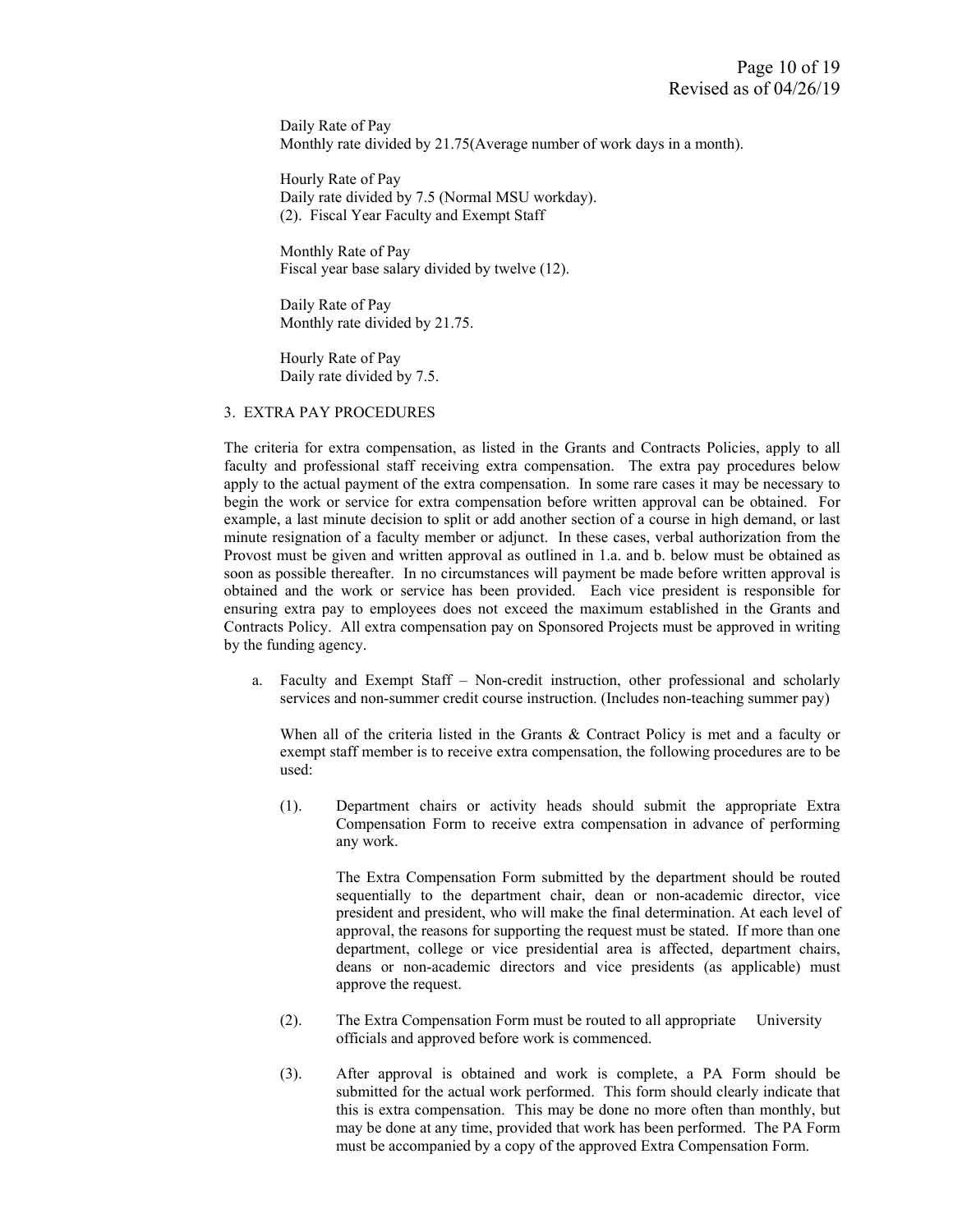Daily Rate of Pay Monthly rate divided by 21.75(Average number of work days in a month).

 Hourly Rate of Pay Daily rate divided by 7.5 (Normal MSU workday). (2). Fiscal Year Faculty and Exempt Staff

 Monthly Rate of Pay Fiscal year base salary divided by twelve (12).

 Daily Rate of Pay Monthly rate divided by 21.75.

 Hourly Rate of Pay Daily rate divided by 7.5.

#### 3. EXTRA PAY PROCEDURES

The criteria for extra compensation, as listed in the Grants and Contracts Policies, apply to all faculty and professional staff receiving extra compensation. The extra pay procedures below apply to the actual payment of the extra compensation. In some rare cases it may be necessary to begin the work or service for extra compensation before written approval can be obtained. For example, a last minute decision to split or add another section of a course in high demand, or last minute resignation of a faculty member or adjunct. In these cases, verbal authorization from the Provost must be given and written approval as outlined in 1.a. and b. below must be obtained as soon as possible thereafter. In no circumstances will payment be made before written approval is obtained and the work or service has been provided. Each vice president is responsible for ensuring extra pay to employees does not exceed the maximum established in the Grants and Contracts Policy. All extra compensation pay on Sponsored Projects must be approved in writing by the funding agency.

 a. Faculty and Exempt Staff – Non-credit instruction, other professional and scholarly services and non-summer credit course instruction. (Includes non-teaching summer pay)

When all of the criteria listed in the Grants & Contract Policy is met and a faculty or exempt staff member is to receive extra compensation, the following procedures are to be used:

 (1). Department chairs or activity heads should submit the appropriate Extra Compensation Form to receive extra compensation in advance of performing any work.

The Extra Compensation Form submitted by the department should be routed sequentially to the department chair, dean or non-academic director, vice president and president, who will make the final determination. At each level of approval, the reasons for supporting the request must be stated. If more than one department, college or vice presidential area is affected, department chairs, deans or non-academic directors and vice presidents (as applicable) must approve the request.

- (2). The Extra Compensation Form must be routed to all appropriate University officials and approved before work is commenced.
- (3). After approval is obtained and work is complete, a PA Form should be submitted for the actual work performed. This form should clearly indicate that this is extra compensation. This may be done no more often than monthly, but may be done at any time, provided that work has been performed. The PA Form must be accompanied by a copy of the approved Extra Compensation Form.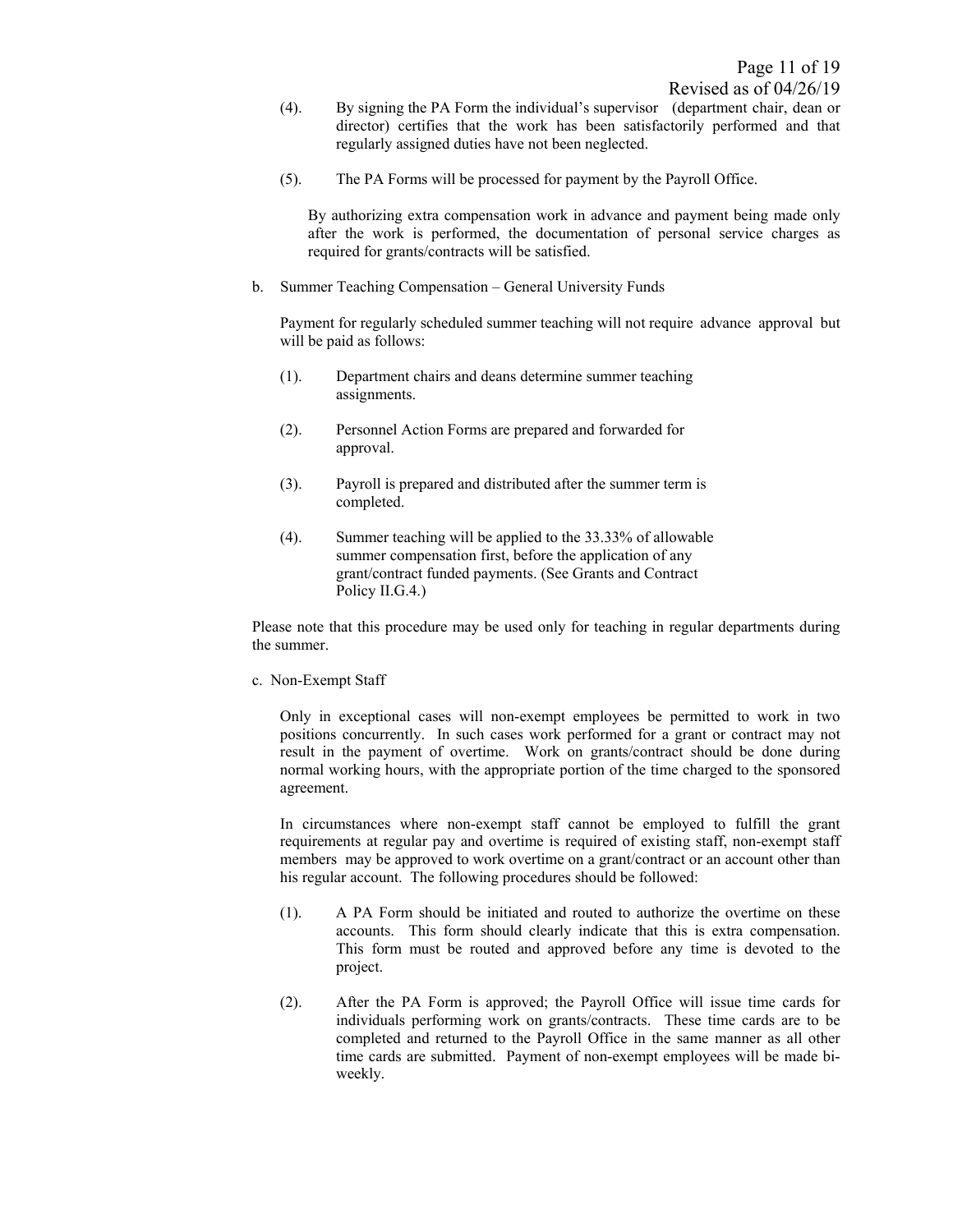- (4). By signing the PA Form the individual's supervisor (department chair, dean or director) certifies that the work has been satisfactorily performed and that regularly assigned duties have not been neglected.
- (5). The PA Forms will be processed for payment by the Payroll Office.

By authorizing extra compensation work in advance and payment being made only after the work is performed, the documentation of personal service charges as required for grants/contracts will be satisfied.

b. Summer Teaching Compensation – General University Funds

 Payment for regularly scheduled summer teaching will not require advance approval but will be paid as follows:

- (1). Department chairs and deans determine summer teaching assignments.
- (2). Personnel Action Forms are prepared and forwarded for approval.
- (3). Payroll is prepared and distributed after the summer term is completed.
- (4). Summer teaching will be applied to the 33.33% of allowable summer compensation first, before the application of any grant/contract funded payments. (See Grants and Contract Policy II.G.4.)

Please note that this procedure may be used only for teaching in regular departments during the summer.

c. Non-Exempt Staff

Only in exceptional cases will non-exempt employees be permitted to work in two positions concurrently. In such cases work performed for a grant or contract may not result in the payment of overtime. Work on grants/contract should be done during normal working hours, with the appropriate portion of the time charged to the sponsored agreement.

In circumstances where non-exempt staff cannot be employed to fulfill the grant requirements at regular pay and overtime is required of existing staff, non-exempt staff members may be approved to work overtime on a grant/contract or an account other than his regular account. The following procedures should be followed:

- (1). A PA Form should be initiated and routed to authorize the overtime on these accounts. This form should clearly indicate that this is extra compensation. This form must be routed and approved before any time is devoted to the project.
- (2). After the PA Form is approved; the Payroll Office will issue time cards for individuals performing work on grants/contracts. These time cards are to be completed and returned to the Payroll Office in the same manner as all other time cards are submitted. Payment of non-exempt employees will be made biweekly.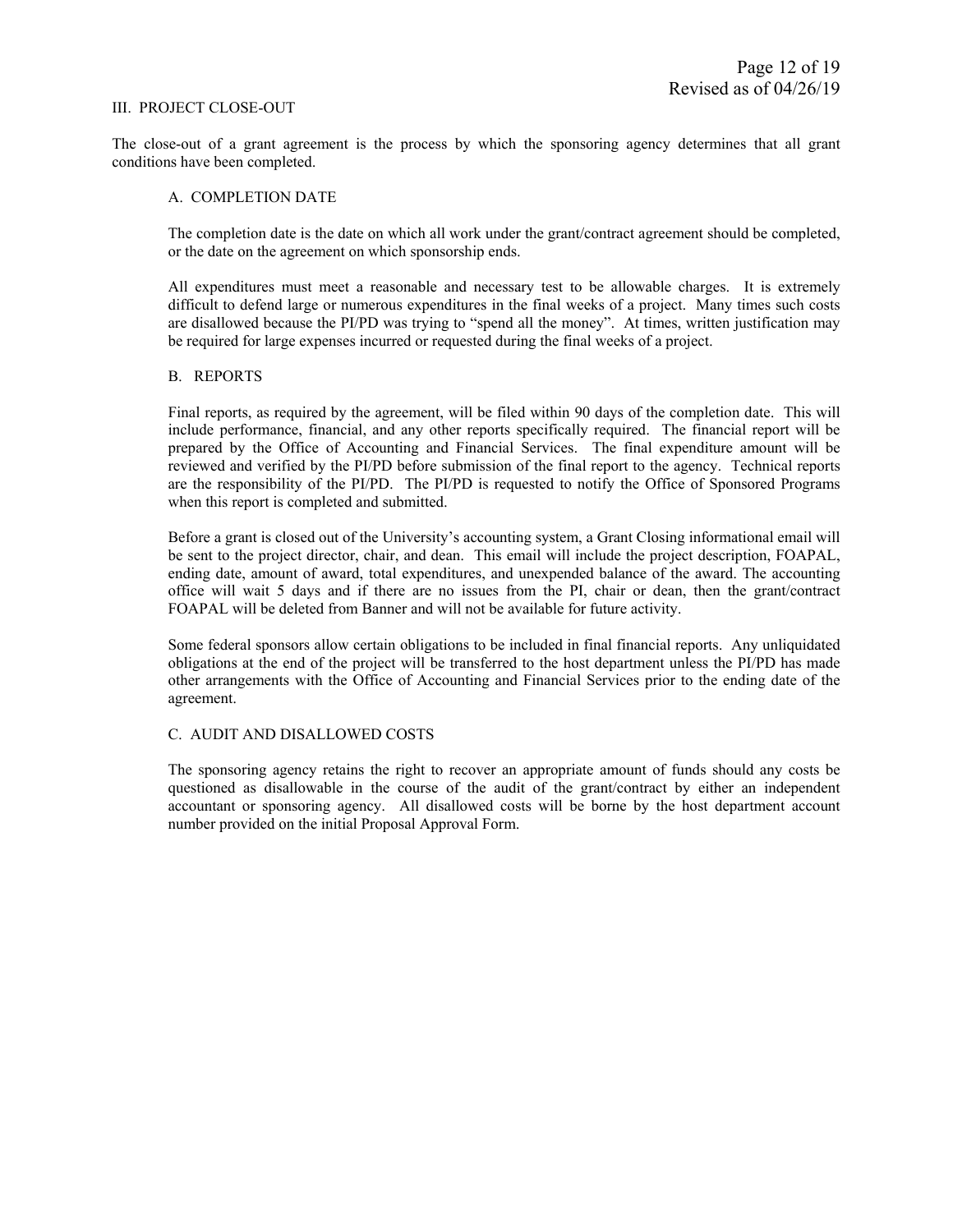#### III. PROJECT CLOSE-OUT

The close-out of a grant agreement is the process by which the sponsoring agency determines that all grant conditions have been completed.

#### A. COMPLETION DATE

The completion date is the date on which all work under the grant/contract agreement should be completed, or the date on the agreement on which sponsorship ends.

All expenditures must meet a reasonable and necessary test to be allowable charges. It is extremely difficult to defend large or numerous expenditures in the final weeks of a project. Many times such costs are disallowed because the PI/PD was trying to "spend all the money". At times, written justification may be required for large expenses incurred or requested during the final weeks of a project.

#### B. REPORTS

Final reports, as required by the agreement, will be filed within 90 days of the completion date. This will include performance, financial, and any other reports specifically required. The financial report will be prepared by the Office of Accounting and Financial Services. The final expenditure amount will be reviewed and verified by the PI/PD before submission of the final report to the agency. Technical reports are the responsibility of the PI/PD. The PI/PD is requested to notify the Office of Sponsored Programs when this report is completed and submitted.

Before a grant is closed out of the University's accounting system, a Grant Closing informational email will be sent to the project director, chair, and dean. This email will include the project description, FOAPAL, ending date, amount of award, total expenditures, and unexpended balance of the award. The accounting office will wait 5 days and if there are no issues from the PI, chair or dean, then the grant/contract FOAPAL will be deleted from Banner and will not be available for future activity.

Some federal sponsors allow certain obligations to be included in final financial reports. Any unliquidated obligations at the end of the project will be transferred to the host department unless the PI/PD has made other arrangements with the Office of Accounting and Financial Services prior to the ending date of the agreement.

#### C. AUDIT AND DISALLOWED COSTS

The sponsoring agency retains the right to recover an appropriate amount of funds should any costs be questioned as disallowable in the course of the audit of the grant/contract by either an independent accountant or sponsoring agency. All disallowed costs will be borne by the host department account number provided on the initial Proposal Approval Form.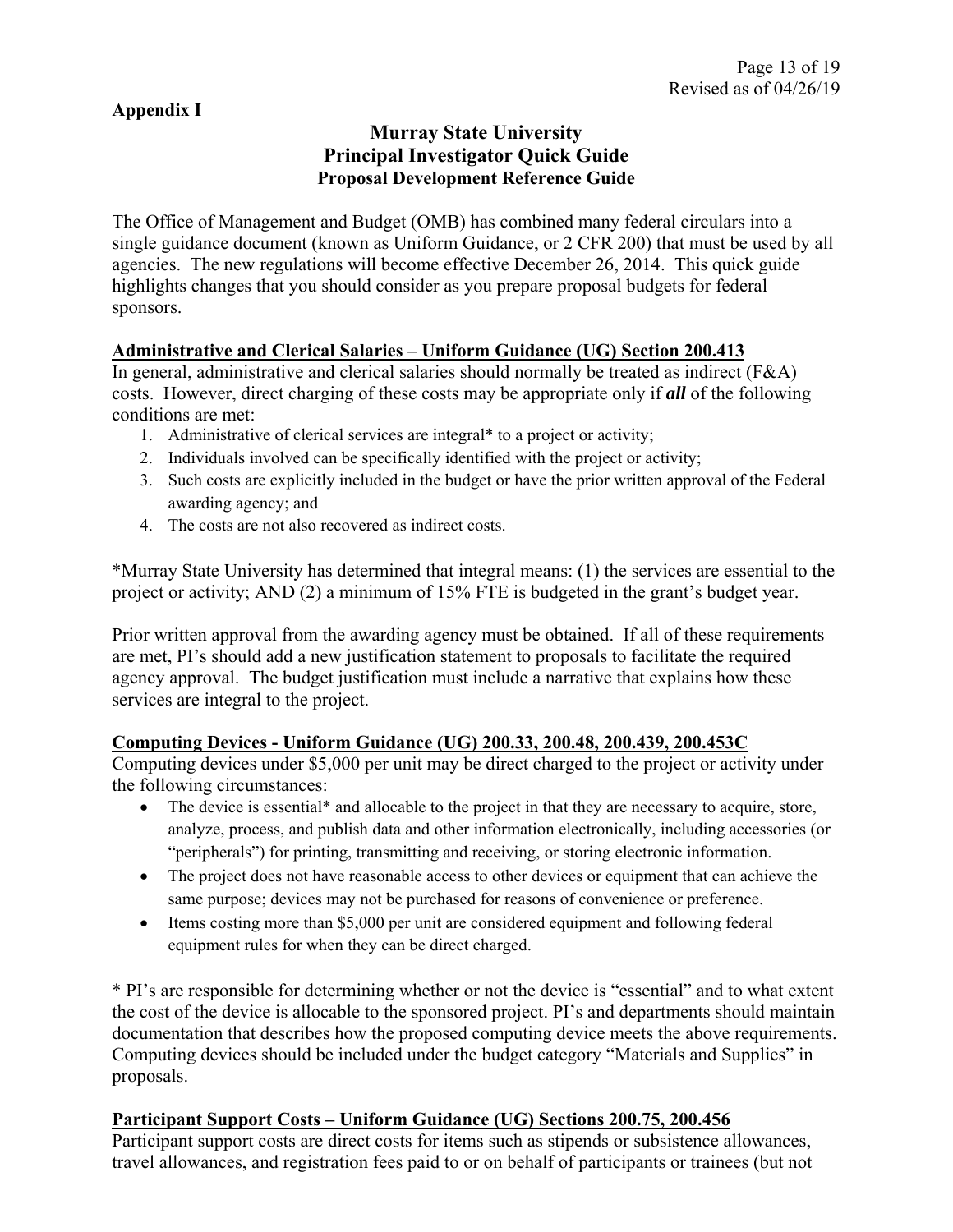## **Appendix I**

## **Murray State University Principal Investigator Quick Guide Proposal Development Reference Guide**

The Office of Management and Budget (OMB) has combined many federal circulars into a single guidance document (known as Uniform Guidance, or 2 CFR 200) that must be used by all agencies. The new regulations will become effective December 26, 2014. This quick guide highlights changes that you should consider as you prepare proposal budgets for federal sponsors.

## **Administrative and Clerical Salaries – Uniform Guidance (UG) Section 200.413**

In general, administrative and clerical salaries should normally be treated as indirect (F&A) costs. However, direct charging of these costs may be appropriate only if *all* of the following conditions are met:

- 1. Administrative of clerical services are integral\* to a project or activity;
- 2. Individuals involved can be specifically identified with the project or activity;
- 3. Such costs are explicitly included in the budget or have the prior written approval of the Federal awarding agency; and
- 4. The costs are not also recovered as indirect costs.

\*Murray State University has determined that integral means: (1) the services are essential to the project or activity; AND (2) a minimum of 15% FTE is budgeted in the grant's budget year.

Prior written approval from the awarding agency must be obtained. If all of these requirements are met, PI's should add a new justification statement to proposals to facilitate the required agency approval. The budget justification must include a narrative that explains how these services are integral to the project.

## **Computing Devices - Uniform Guidance (UG) 200.33, 200.48, 200.439, 200.453C**

Computing devices under \$5,000 per unit may be direct charged to the project or activity under the following circumstances:

- The device is essential<sup>\*</sup> and allocable to the project in that they are necessary to acquire, store, analyze, process, and publish data and other information electronically, including accessories (or "peripherals") for printing, transmitting and receiving, or storing electronic information.
- The project does not have reasonable access to other devices or equipment that can achieve the same purpose; devices may not be purchased for reasons of convenience or preference.
- Items costing more than \$5,000 per unit are considered equipment and following federal equipment rules for when they can be direct charged.

\* PI's are responsible for determining whether or not the device is "essential" and to what extent the cost of the device is allocable to the sponsored project. PI's and departments should maintain documentation that describes how the proposed computing device meets the above requirements. Computing devices should be included under the budget category "Materials and Supplies" in proposals.

## **Participant Support Costs – Uniform Guidance (UG) Sections 200.75, 200.456**

Participant support costs are direct costs for items such as stipends or subsistence allowances, travel allowances, and registration fees paid to or on behalf of participants or trainees (but not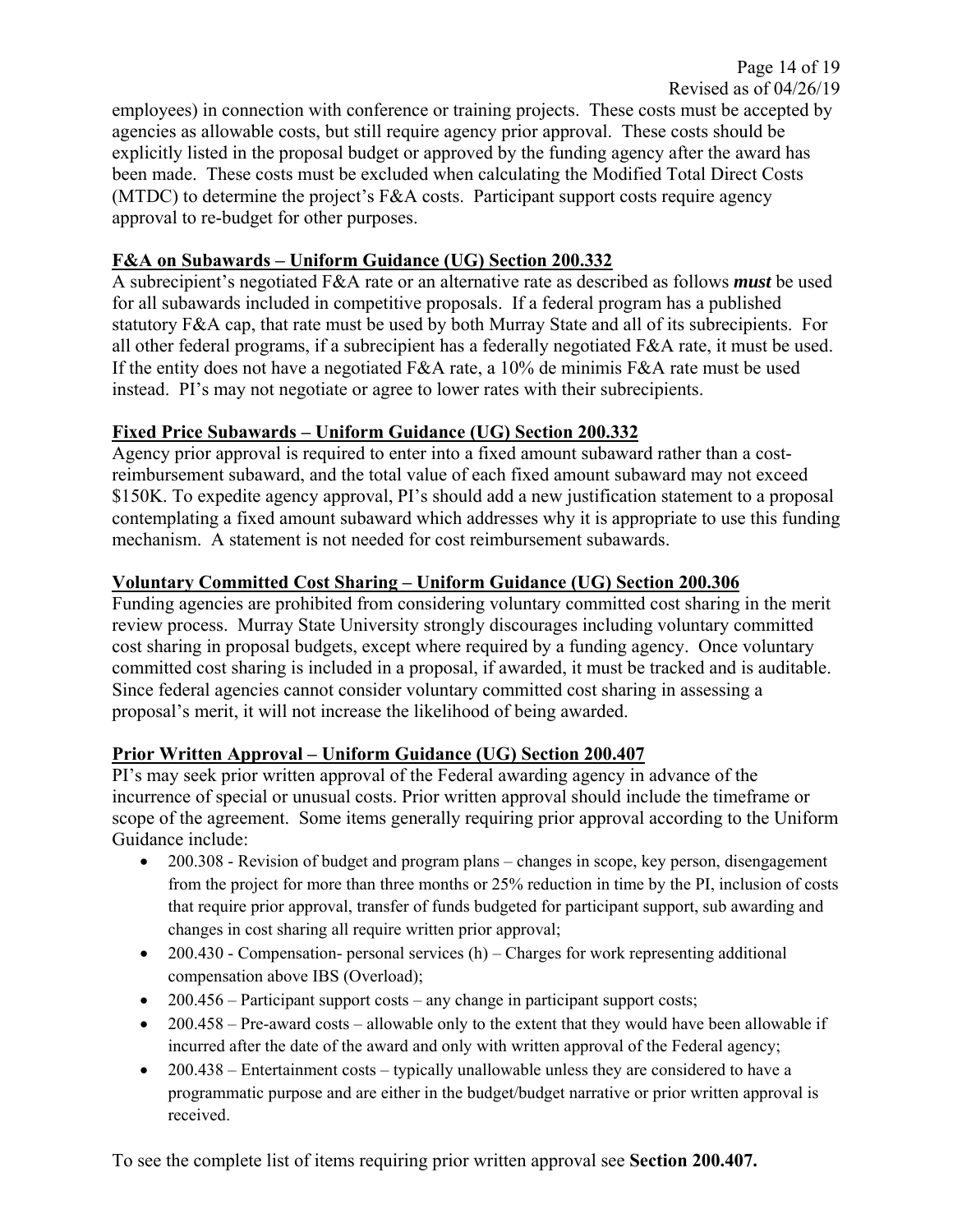employees) in connection with conference or training projects. These costs must be accepted by agencies as allowable costs, but still require agency prior approval. These costs should be explicitly listed in the proposal budget or approved by the funding agency after the award has been made. These costs must be excluded when calculating the Modified Total Direct Costs (MTDC) to determine the project's F&A costs. Participant support costs require agency approval to re-budget for other purposes.

## **F&A on Subawards – Uniform Guidance (UG) Section 200.332**

A subrecipient's negotiated F&A rate or an alternative rate as described as follows *must* be used for all subawards included in competitive proposals. If a federal program has a published statutory F&A cap, that rate must be used by both Murray State and all of its subrecipients. For all other federal programs, if a subrecipient has a federally negotiated F&A rate, it must be used. If the entity does not have a negotiated F&A rate, a 10% de minimis F&A rate must be used instead. PI's may not negotiate or agree to lower rates with their subrecipients.

## **Fixed Price Subawards – Uniform Guidance (UG) Section 200.332**

Agency prior approval is required to enter into a fixed amount subaward rather than a costreimbursement subaward, and the total value of each fixed amount subaward may not exceed \$150K. To expedite agency approval, PI's should add a new justification statement to a proposal contemplating a fixed amount subaward which addresses why it is appropriate to use this funding mechanism. A statement is not needed for cost reimbursement subawards.

## **Voluntary Committed Cost Sharing – Uniform Guidance (UG) Section 200.306**

Funding agencies are prohibited from considering voluntary committed cost sharing in the merit review process. Murray State University strongly discourages including voluntary committed cost sharing in proposal budgets, except where required by a funding agency. Once voluntary committed cost sharing is included in a proposal, if awarded, it must be tracked and is auditable. Since federal agencies cannot consider voluntary committed cost sharing in assessing a proposal's merit, it will not increase the likelihood of being awarded.

## **Prior Written Approval – Uniform Guidance (UG) Section 200.407**

PI's may seek prior written approval of the Federal awarding agency in advance of the incurrence of special or unusual costs. Prior written approval should include the timeframe or scope of the agreement. Some items generally requiring prior approval according to the Uniform Guidance include:

- 200.308 Revision of budget and program plans changes in scope, key person, disengagement from the project for more than three months or 25% reduction in time by the PI, inclusion of costs that require prior approval, transfer of funds budgeted for participant support, sub awarding and changes in cost sharing all require written prior approval;
- $\bullet$  200.430 Compensation- personal services (h) Charges for work representing additional compensation above IBS (Overload);
- $\bullet$  200.456 Participant support costs any change in participant support costs;
- $\bullet$  200.458 Pre-award costs allowable only to the extent that they would have been allowable if incurred after the date of the award and only with written approval of the Federal agency;
- $\bullet$  200.438 Entertainment costs typically unallowable unless they are considered to have a programmatic purpose and are either in the budget/budget narrative or prior written approval is received.

To see the complete list of items requiring prior written approval see **Section 200.407.**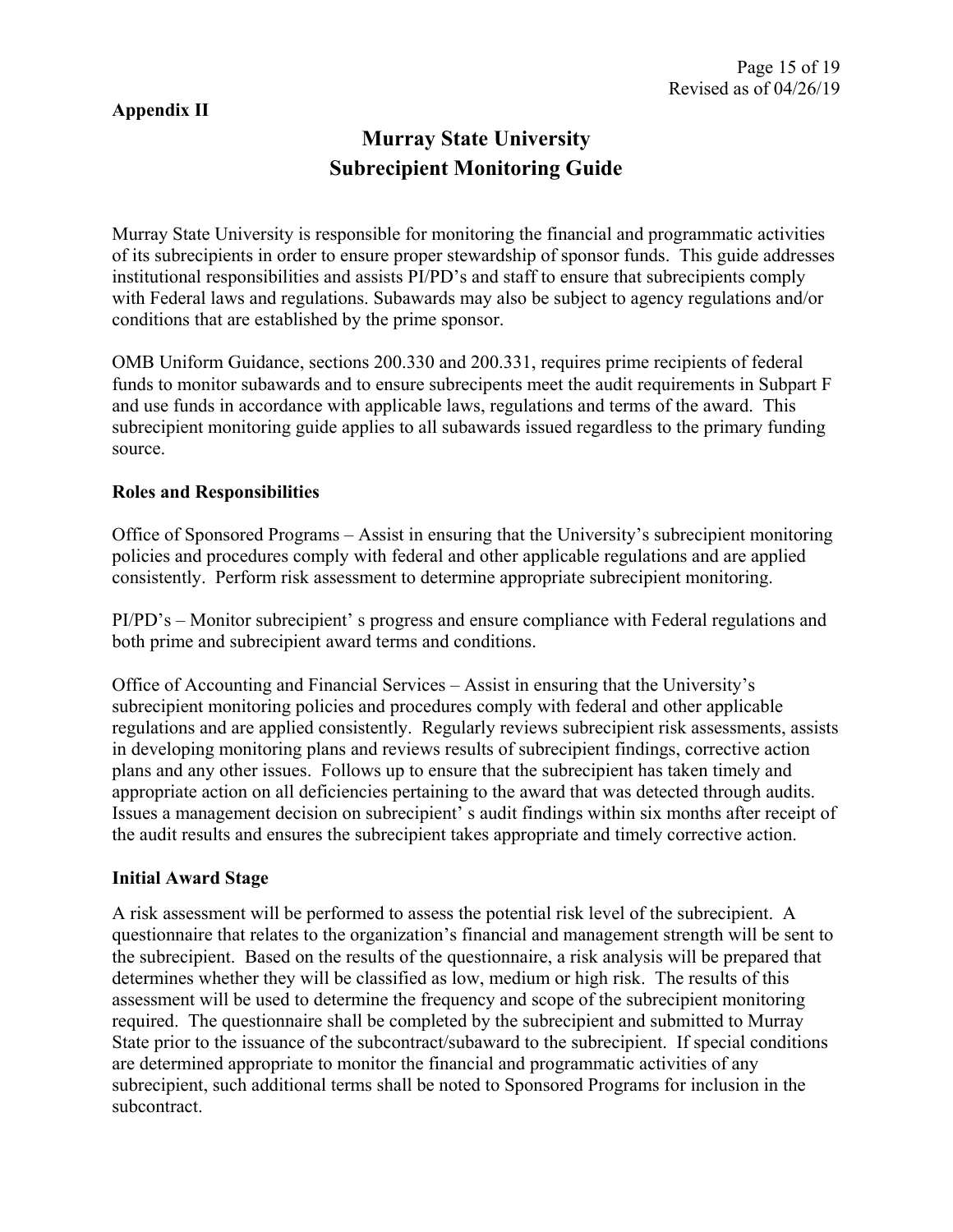## **Appendix II**

# **Murray State University Subrecipient Monitoring Guide**

Murray State University is responsible for monitoring the financial and programmatic activities of its subrecipients in order to ensure proper stewardship of sponsor funds. This guide addresses institutional responsibilities and assists PI/PD's and staff to ensure that subrecipients comply with Federal laws and regulations. Subawards may also be subject to agency regulations and/or conditions that are established by the prime sponsor.

OMB Uniform Guidance, sections 200.330 and 200.331, requires prime recipients of federal funds to monitor subawards and to ensure subrecipents meet the audit requirements in Subpart F and use funds in accordance with applicable laws, regulations and terms of the award. This subrecipient monitoring guide applies to all subawards issued regardless to the primary funding source.

### **Roles and Responsibilities**

Office of Sponsored Programs – Assist in ensuring that the University's subrecipient monitoring policies and procedures comply with federal and other applicable regulations and are applied consistently. Perform risk assessment to determine appropriate subrecipient monitoring.

PI/PD's – Monitor subrecipient' s progress and ensure compliance with Federal regulations and both prime and subrecipient award terms and conditions.

Office of Accounting and Financial Services – Assist in ensuring that the University's subrecipient monitoring policies and procedures comply with federal and other applicable regulations and are applied consistently. Regularly reviews subrecipient risk assessments, assists in developing monitoring plans and reviews results of subrecipient findings, corrective action plans and any other issues. Follows up to ensure that the subrecipient has taken timely and appropriate action on all deficiencies pertaining to the award that was detected through audits. Issues a management decision on subrecipient' s audit findings within six months after receipt of the audit results and ensures the subrecipient takes appropriate and timely corrective action.

### **Initial Award Stage**

A risk assessment will be performed to assess the potential risk level of the subrecipient. A questionnaire that relates to the organization's financial and management strength will be sent to the subrecipient. Based on the results of the questionnaire, a risk analysis will be prepared that determines whether they will be classified as low, medium or high risk. The results of this assessment will be used to determine the frequency and scope of the subrecipient monitoring required. The questionnaire shall be completed by the subrecipient and submitted to Murray State prior to the issuance of the subcontract/subaward to the subrecipient. If special conditions are determined appropriate to monitor the financial and programmatic activities of any subrecipient, such additional terms shall be noted to Sponsored Programs for inclusion in the subcontract.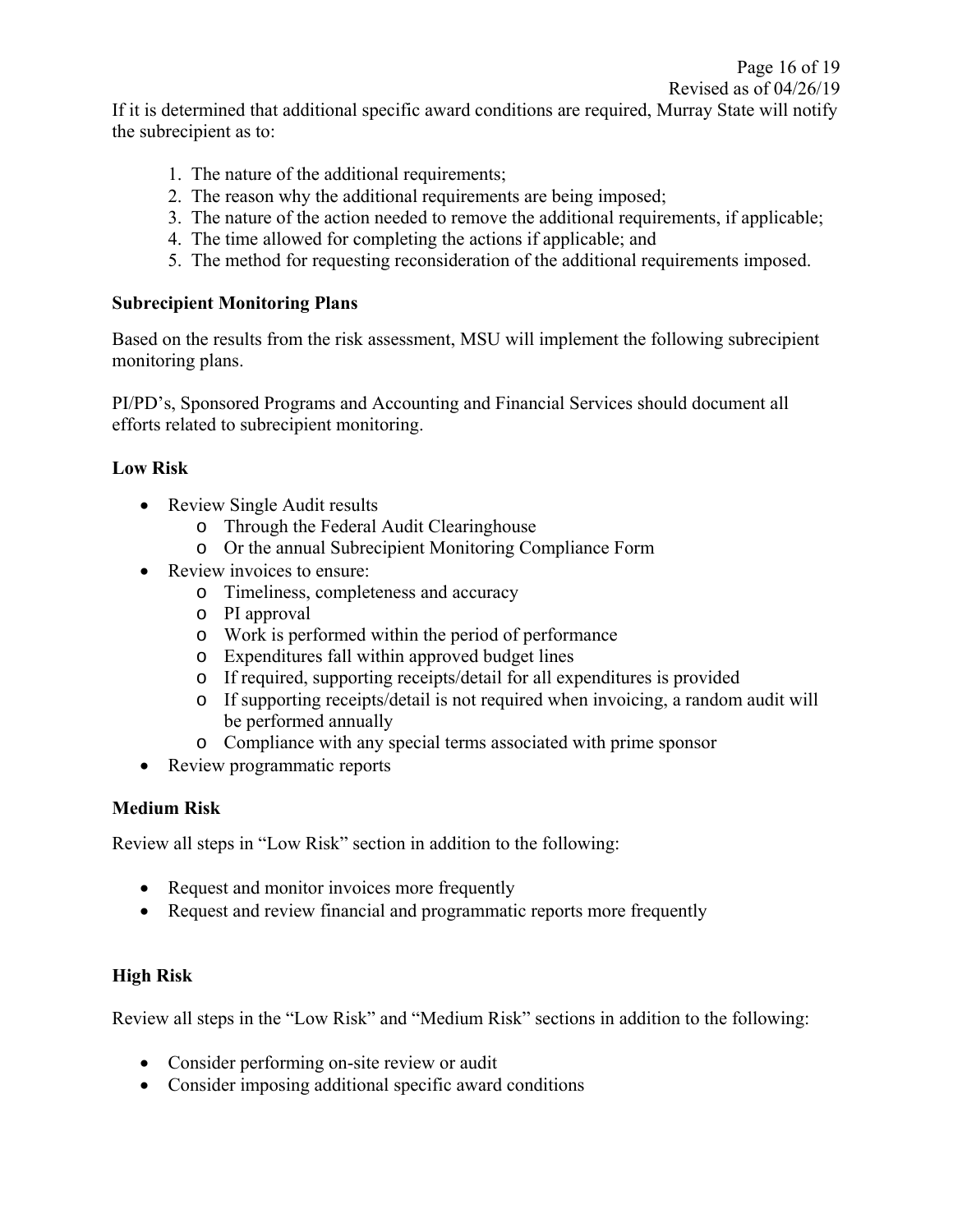If it is determined that additional specific award conditions are required, Murray State will notify the subrecipient as to:

- 1. The nature of the additional requirements;
- 2. The reason why the additional requirements are being imposed;
- 3. The nature of the action needed to remove the additional requirements, if applicable;
- 4. The time allowed for completing the actions if applicable; and
- 5. The method for requesting reconsideration of the additional requirements imposed.

### **Subrecipient Monitoring Plans**

Based on the results from the risk assessment, MSU will implement the following subrecipient monitoring plans.

PI/PD's, Sponsored Programs and Accounting and Financial Services should document all efforts related to subrecipient monitoring.

### **Low Risk**

- Review Single Audit results
	- o Through the Federal Audit Clearinghouse
	- o Or the annual Subrecipient Monitoring Compliance Form
- Review invoices to ensure:
	- o Timeliness, completeness and accuracy
	- o PI approval
	- o Work is performed within the period of performance
	- o Expenditures fall within approved budget lines
	- o If required, supporting receipts/detail for all expenditures is provided
	- o If supporting receipts/detail is not required when invoicing, a random audit will be performed annually
	- o Compliance with any special terms associated with prime sponsor
- Review programmatic reports

### **Medium Risk**

Review all steps in "Low Risk" section in addition to the following:

- Request and monitor invoices more frequently
- Request and review financial and programmatic reports more frequently

## **High Risk**

Review all steps in the "Low Risk" and "Medium Risk" sections in addition to the following:

- Consider performing on-site review or audit
- Consider imposing additional specific award conditions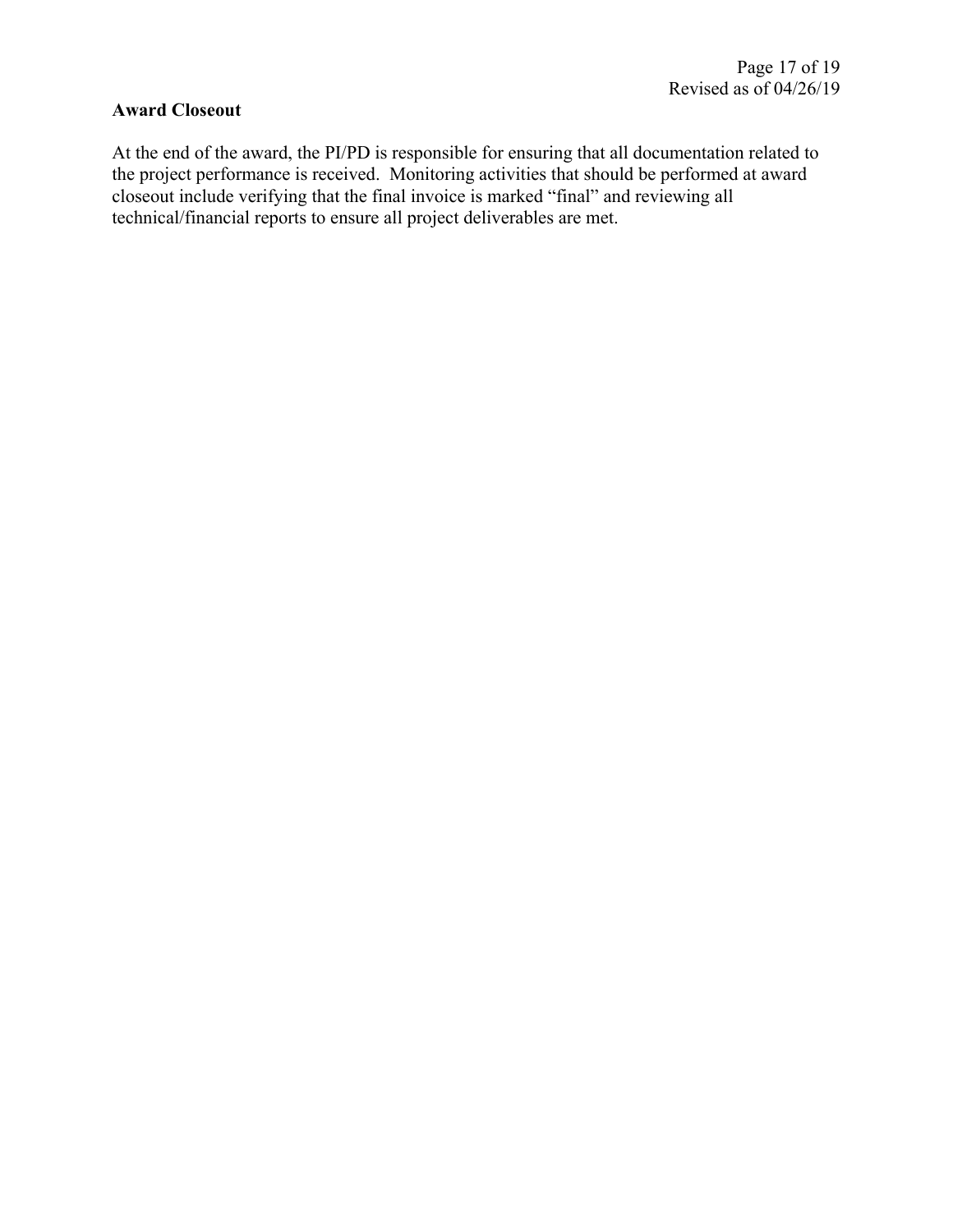### **Award Closeout**

At the end of the award, the PI/PD is responsible for ensuring that all documentation related to the project performance is received. Monitoring activities that should be performed at award closeout include verifying that the final invoice is marked "final" and reviewing all technical/financial reports to ensure all project deliverables are met.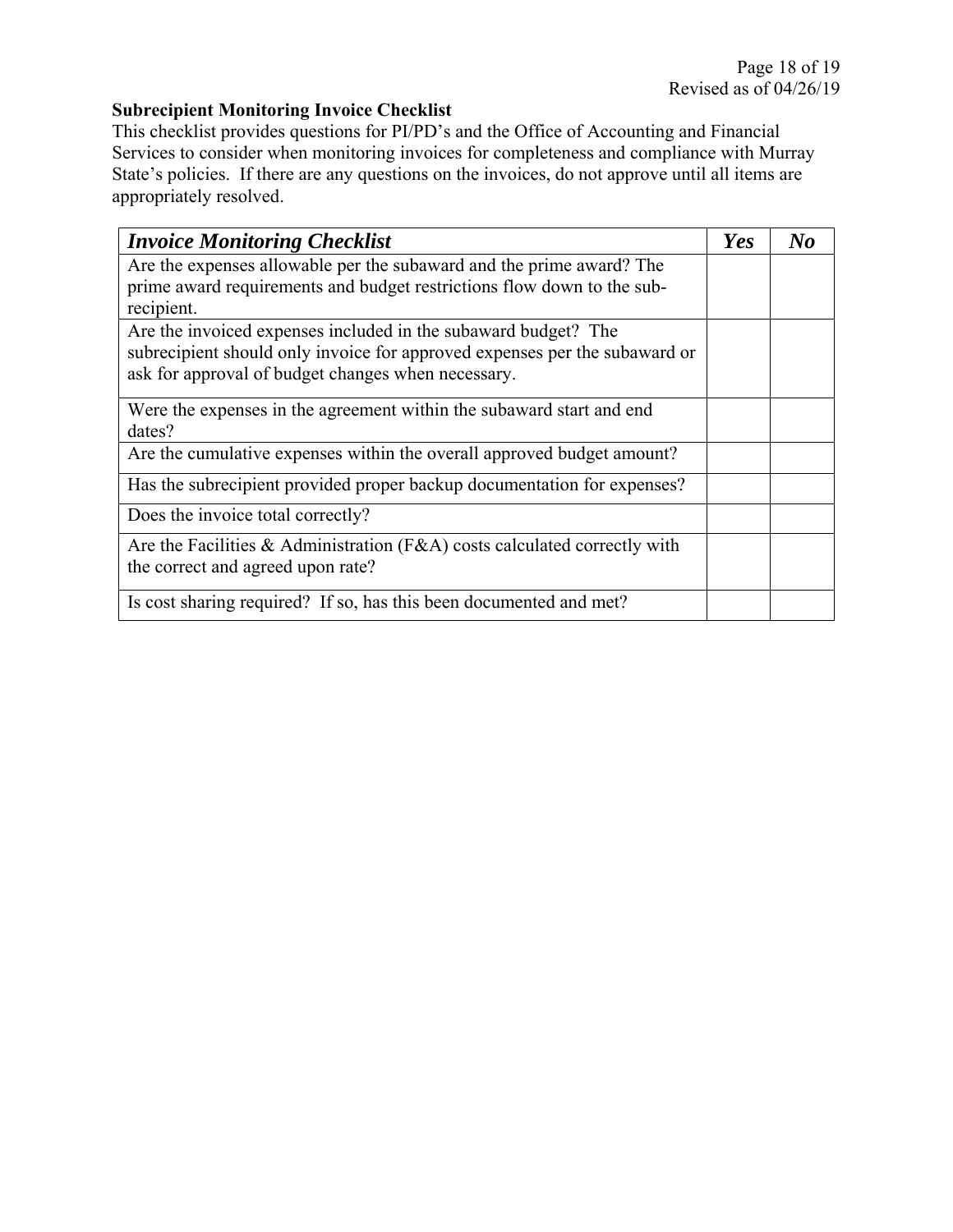## **Subrecipient Monitoring Invoice Checklist**

This checklist provides questions for PI/PD's and the Office of Accounting and Financial Services to consider when monitoring invoices for completeness and compliance with Murray State's policies. If there are any questions on the invoices, do not approve until all items are appropriately resolved.

| <b>Invoice Monitoring Checklist</b>                                        | Yes | $\bf{N}$ |
|----------------------------------------------------------------------------|-----|----------|
| Are the expenses allowable per the subaward and the prime award? The       |     |          |
| prime award requirements and budget restrictions flow down to the sub-     |     |          |
| recipient.                                                                 |     |          |
| Are the invoiced expenses included in the subaward budget? The             |     |          |
| subrecipient should only invoice for approved expenses per the subaward or |     |          |
| ask for approval of budget changes when necessary.                         |     |          |
| Were the expenses in the agreement within the subaward start and end       |     |          |
| dates?                                                                     |     |          |
| Are the cumulative expenses within the overall approved budget amount?     |     |          |
| Has the subrecipient provided proper backup documentation for expenses?    |     |          |
| Does the invoice total correctly?                                          |     |          |
| Are the Facilities & Administration (F&A) costs calculated correctly with  |     |          |
| the correct and agreed upon rate?                                          |     |          |
| Is cost sharing required? If so, has this been documented and met?         |     |          |